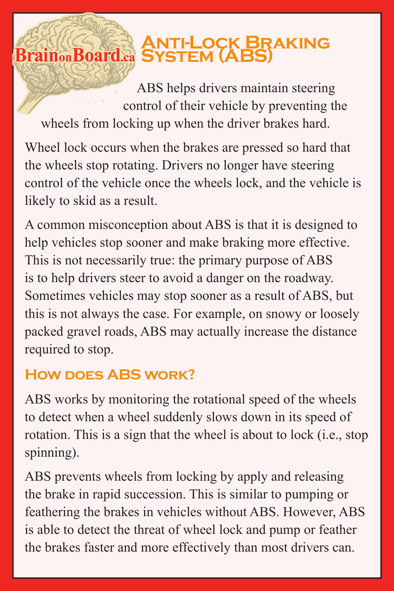## *ANTI-LOCK BRAKING*<br>Brain®Board.a SYSTEM (ABS)

ABS helps drivers maintain steering control of their vehicle by preventing the wheels from locking up when the driver brakes hard.

Wheel lock occurs when the brakes are pressed so hard that the wheels stop rotating. Drivers no longer have steering control of the vehicle once the wheels lock, and the vehicle is likely to skid as a result.

A common misconception about ABS is that it is designed to help vehicles stop sooner and make braking more effective. This is not necessarily true: the primary purpose of ABS is to help drivers steer to avoid a danger on the roadway. Sometimes vehicles may stop sooner as a result of ABS, but this is not always the case. For example, on snowy or loosely packed gravel roads, ABS may actually increase the distance required to stop.

## **How does ABS work?**

ABS works by monitoring the rotational speed of the wheels to detect when a wheel suddenly slows down in its speed of rotation. This is a sign that the wheel is about to lock (i.e., stop spinning).

ABS prevents wheels from locking by apply and releasing the brake in rapid succession. This is similar to pumping or feathering the brakes in vehicles without ABS. However, ABS is able to detect the threat of wheel lock and pump or feather the brakes faster and more effectively than most drivers can.